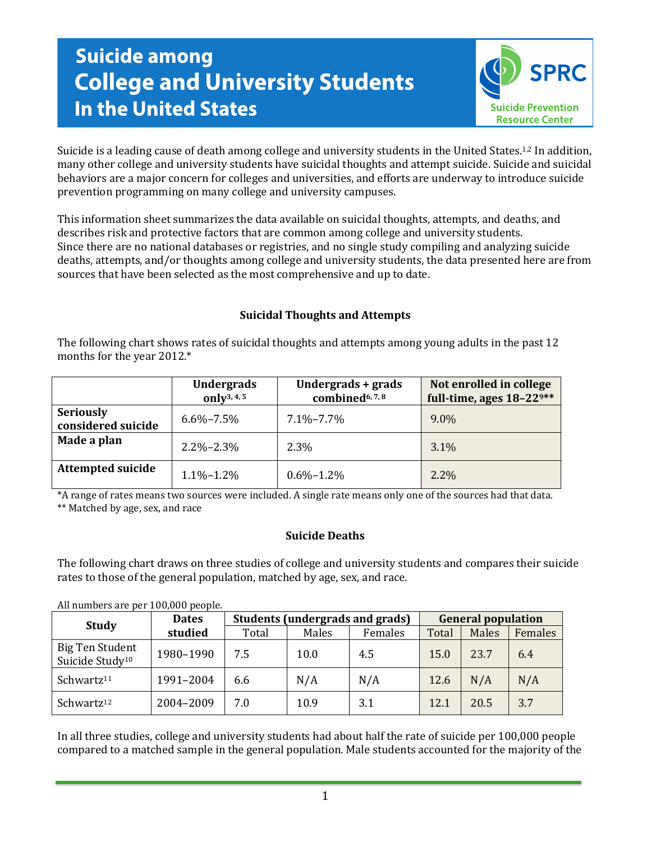# **Suicide among College and University Students In the United States**



Suicide is a leading cause of death among college and university students in the United States.<sup>1,2</sup> In addition, many other college and university students have suicidal thoughts and attempt suicide. Suicide and suicidal behaviors are a major concern for colleges and universities, and efforts are underway to introduce suicide prevention programming on many college and university campuses.

This information sheet summarizes the data available on suicidal thoughts, attempts, and deaths, and describes risk and protective factors that are common among college and university students. Since there are no national databases or registries, and no single study compiling and analyzing suicide deaths, attempts, and/or thoughts among college and university students, the data presented here are from sources that have been selected as the most comprehensive and up to date.

# **Suicidal Thoughts and Attempts**

The following chart shows rates of suicidal thoughts and attempts among young adults in the past 12 months for the year 2012.\*

|                                        | <b>Undergrads</b><br>only <sup>3, 4, 5</sup> | Undergrads + grads<br>combined <sup>6, 7, 8</sup> | Not enrolled in college<br>full-time, ages $18-22$ <sup>9**</sup> |  |  |
|----------------------------------------|----------------------------------------------|---------------------------------------------------|-------------------------------------------------------------------|--|--|
| <b>Seriously</b><br>considered suicide | $6.6\% - 7.5\%$                              | $7.1\% - 7.7\%$                                   | $9.0\%$                                                           |  |  |
| Made a plan                            | $2.2\% - 2.3\%$                              | 2.3%                                              | $3.1\%$                                                           |  |  |
| <b>Attempted suicide</b>               | $1.1\% - 1.2\%$                              | $0.6\% - 1.2\%$                                   | $2.2\%$                                                           |  |  |

\*A range of rates means two sources were included. A single rate means only one of the sources had that data. \*\* Matched by age, sex, and race

## **Suicide Deaths**

The following chart draws on three studies of college and university students and compares their suicide rates to those of the general population, matched by age, sex, and race.

All numbers are per 100,000 people.

| <b>Study</b>                                          | <b>Dates</b> | Students (undergrads and grads) |       |         | <b>General population</b> |       |         |
|-------------------------------------------------------|--------------|---------------------------------|-------|---------|---------------------------|-------|---------|
|                                                       | studied      | Total                           | Males | Females | Total                     | Males | Females |
| <b>Big Ten Student</b><br>Suicide Study <sup>10</sup> | 1980-1990    | 7.5                             | 10.0  | 4.5     | 15.0                      | 23.7  | 6.4     |
| Schwartz <sup>11</sup>                                | 1991-2004    | 6.6                             | N/A   | N/A     | 12.6                      | N/A   | N/A     |
| Schwartz <sup>12</sup>                                | 2004-2009    | 7.0                             | 10.9  | 3.1     | 12.1                      | 20.5  | 3.7     |

In all three studies, college and university students had about half the rate of suicide per 100,000 people compared to a matched sample in the general population. Male students accounted for the majority of the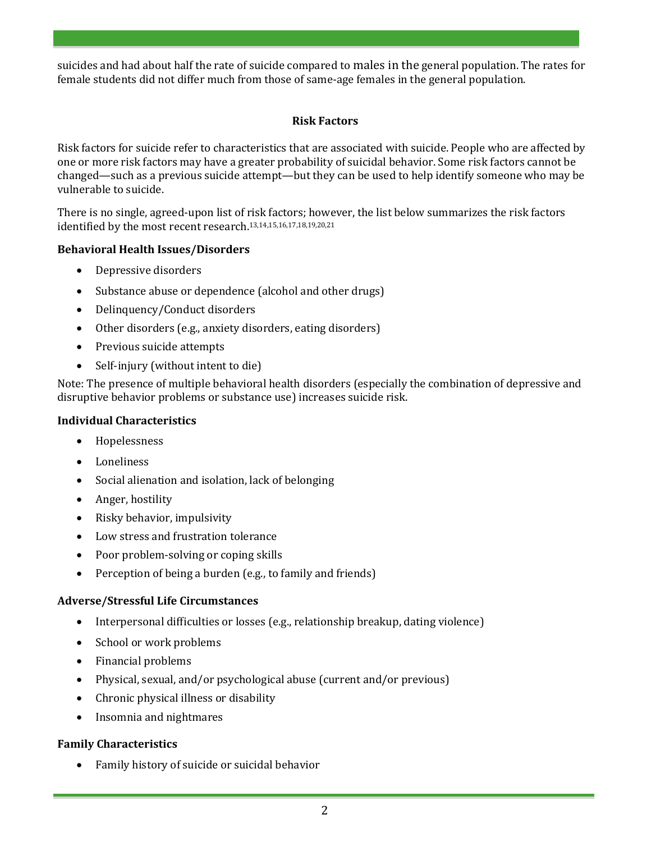suicides and had about half the rate of suicide compared to males in the general population. The rates for female students did not differ much from those of same-age females in the general population.

## **Risk Factors**

Risk factors for suicide refer to characteristics that are associated with suicide. People who are affected by one or more risk factors may have a greater probability of suicidal behavior. Some risk factors cannot be changed—such as a previous suicide attempt—but they can be used to help identify someone who may be vulnerable to suicide.

There is no single, agreed-upon list of risk factors; however, the list below summarizes the risk factors identified by the most recent research.13,14,15,16,17,18,19,20,21

## **Behavioral Health Issues/Disorders**

- Depressive disorders
- Substance abuse or dependence (alcohol and other drugs)
- Delinquency/Conduct disorders
- Other disorders (e.g., anxiety disorders, eating disorders)
- Previous suicide attempts
- Self-injury (without intent to die)

Note: The presence of multiple behavioral health disorders (especially the combination of depressive and disruptive behavior problems or substance use) increases suicide risk.

## **Individual Characteristics**

- Hopelessness
- Loneliness
- Social alienation and isolation, lack of belonging
- Anger, hostility
- Risky behavior, impulsivity
- Low stress and frustration tolerance
- Poor problem-solving or coping skills
- Perception of being a burden (e.g., to family and friends)

## **Adverse/Stressful Life Circumstances**

- Interpersonal difficulties or losses (e.g., relationship breakup, dating violence)
- School or work problems
- Financial problems
- Physical, sexual, and/or psychological abuse (current and/or previous)
- Chronic physical illness or disability
- Insomnia and nightmares

## **Family Characteristics**

Family history of suicide or suicidal behavior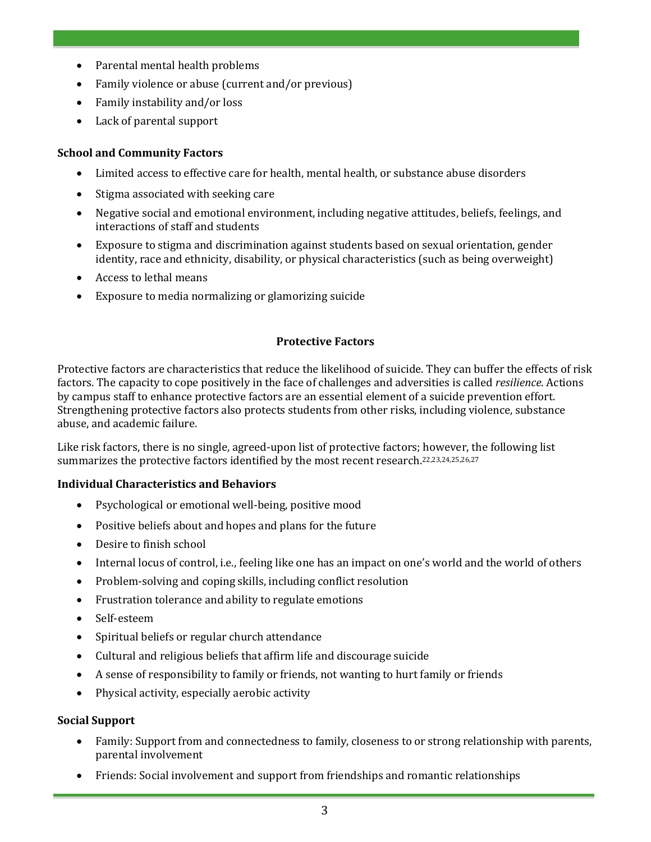- Parental mental health problems
- Family violence or abuse (current and/or previous)
- Family instability and/or loss
- Lack of parental support

#### **School and Community Factors**

- Limited access to effective care for health, mental health, or substance abuse disorders
- Stigma associated with seeking care
- Negative social and emotional environment, including negative attitudes, beliefs, feelings, and interactions of staff and students
- Exposure to stigma and discrimination against students based on sexual orientation, gender identity, race and ethnicity, disability, or physical characteristics (such as being overweight)
- Access to lethal means
- Exposure to media normalizing or glamorizing suicide

#### **Protective Factors**

Protective factors are characteristics that reduce the likelihood of suicide. They can buffer the effects of risk factors. The capacity to cope positively in the face of challenges and adversities is called *resilience*. Actions by campus staff to enhance protective factors are an essential element of a suicide prevention effort. Strengthening protective factors also protects students from other risks, including violence, substance abuse, and academic failure.

Like risk factors, there is no single, agreed-upon list of protective factors; however, the following list summarizes the protective factors identified by the most recent research.22,23,24,25,26,27

#### **Individual Characteristics and Behaviors**

- Psychological or emotional well-being, positive mood
- Positive beliefs about and hopes and plans for the future
- Desire to finish school
- Internal locus of control, i.e., feeling like one has an impact on one's world and the world of others
- Problem-solving and coping skills, including conflict resolution
- Frustration tolerance and ability to regulate emotions
- Self-esteem
- Spiritual beliefs or regular church attendance
- Cultural and religious beliefs that affirm life and discourage suicide
- A sense of responsibility to family or friends, not wanting to hurt family or friends
- Physical activity, especially aerobic activity

#### **Social Support**

- Family: Support from and connectedness to family, closeness to or strong relationship with parents, parental involvement
- Friends: Social involvement and support from friendships and romantic relationships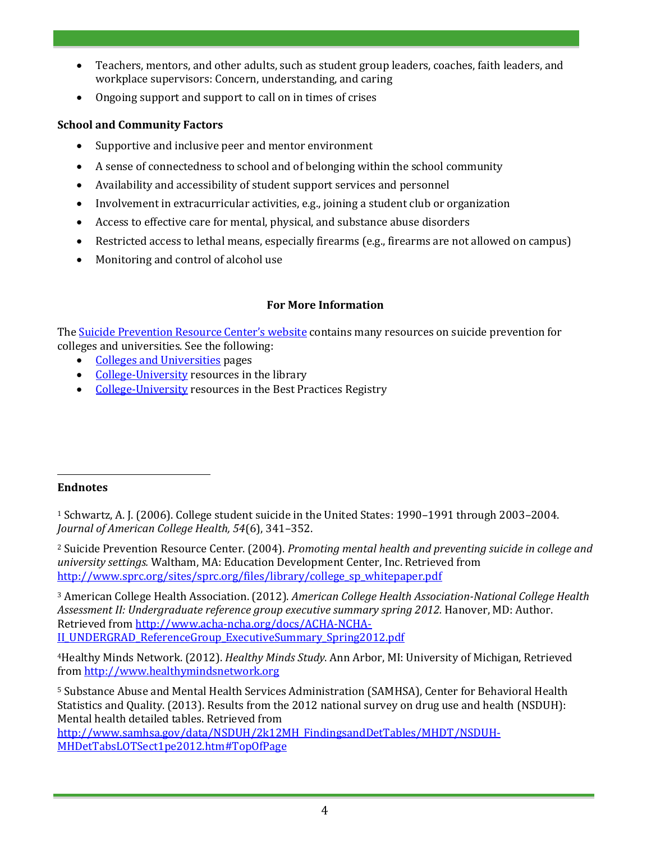- Teachers, mentors, and other adults, such as student group leaders, coaches, faith leaders, and workplace supervisors: Concern, understanding, and caring
- Ongoing support and support to call on in times of crises

# **School and Community Factors**

- Supportive and inclusive peer and mentor environment
- A sense of connectedness to school and of belonging within the school community
- Availability and accessibility of student support services and personnel
- Involvement in extracurricular activities, e.g., joining a student club or organization
- Access to effective care for mental, physical, and substance abuse disorders
- Restricted access to lethal means, especially firearms (e.g., firearms are not allowed on campus)
- Monitoring and control of alcohol use

# **For More Information**

The **[Suicide Prevention Resource Center's website](http://www.sprc.org/)** contains many resources on suicide prevention for colleges and universities. See the following:

- [Colleges and Universities](http://www.sprc.org/collegesanduniversities) pages
- [College-University](http://www.sprc.org/search/library/College-University?filters=type%3Alibrary_resource%20tid%3A36) resources in the library
- [College-University](http://www.sprc.org/search/bpr/College-University?filters=sm_resource_type%3Abpr_listing) resources in the Best Practices Registry

#### $\overline{a}$ **Endnotes**

<sup>1</sup> Schwartz, A. J. (2006). College student suicide in the United States: 1990–1991 through 2003–2004. *Journal of American College Health, 54*(6), 341–352.

<sup>2</sup> Suicide Prevention Resource Center. (2004). *Promoting mental health and preventing suicide in college and university settings.* Waltham, MA: Education Development Center, Inc. Retrieved from [http://www.sprc.org/sites/sprc.org/files/library/college\\_sp\\_whitepaper.pdf](http://www.sprc.org/sites/sprc.org/files/library/college_sp_whitepaper.pdf)

<sup>3</sup> American College Health Association. (2012). *American College Health Association-National College Health Assessment II: Undergraduate reference group executive summary spring 2012.* Hanover, MD: Author. Retrieved fro[m http://www.acha-ncha.org/docs/ACHA-NCHA-](http://www.acha-ncha.org/docs/ACHA-NCHA-II_UNDERGRAD_ReferenceGroup_ExecutiveSummary_Spring2012.pdf)[II\\_UNDERGRAD\\_ReferenceGroup\\_ExecutiveSummary\\_Spring2012.pdf](http://www.acha-ncha.org/docs/ACHA-NCHA-II_UNDERGRAD_ReferenceGroup_ExecutiveSummary_Spring2012.pdf)

<sup>4</sup>Healthy Minds Network. (2012). *Healthy Minds Study*. Ann Arbor, MI: University of Michigan, Retrieved from [http://www.healthymindsnetwork.org](http://www.healthymindsnetwork.org/)

<sup>5</sup> Substance Abuse and Mental Health Services Administration (SAMHSA), Center for Behavioral Health Statistics and Quality. (2013). Results from the 2012 national survey on drug use and health (NSDUH): Mental health detailed tables. Retrieved from

[http://www.samhsa.gov/data/NSDUH/2k12MH\\_FindingsandDetTables/MHDT/NSDUH-](http://www.samhsa.gov/data/NSDUH/2k12MH_FindingsandDetTables/MHDT/NSDUH-MHDetTabsLOTSect1pe2012.htm#TopOfPage)[MHDetTabsLOTSect1pe2012.htm#TopOfPage](http://www.samhsa.gov/data/NSDUH/2k12MH_FindingsandDetTables/MHDT/NSDUH-MHDetTabsLOTSect1pe2012.htm#TopOfPage)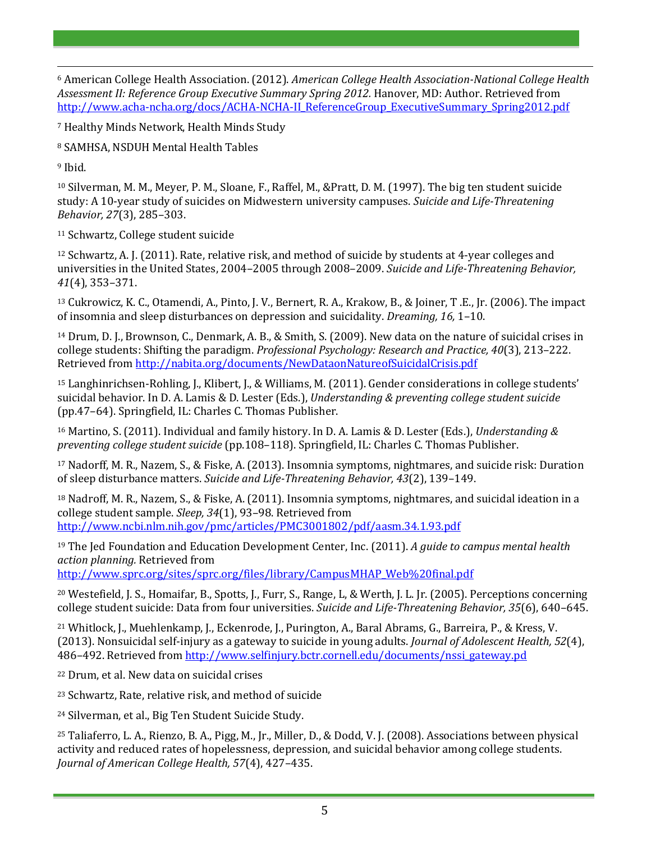$\overline{a}$ <sup>6</sup> American College Health Association. (2012). *American College Health Association-National College Health Assessment II: Reference Group Executive Summary Spring 2012.* Hanover, MD: Author. Retrieved from [http://www.acha-ncha.org/docs/ACHA-NCHA-II\\_ReferenceGroup\\_ExecutiveSummary\\_Spring2012.pdf](http://www.acha-ncha.org/docs/ACHA-NCHA-II_ReferenceGroup_ExecutiveSummary_Spring2012.pdf)

<sup>7</sup> Healthy Minds Network, Health Minds Study

<sup>8</sup> SAMHSA, NSDUH Mental Health Tables

<sup>9</sup> Ibid.

<sup>10</sup> Silverman, M. M., Meyer, P. M., Sloane, F., Raffel, M., &Pratt, D. M. (1997). The big ten student suicide study: A 10-year study of suicides on Midwestern university campuses. *Suicide and Life-Threatening Behavior, 27*(3), 285–303.

<sup>11</sup> Schwartz, College student suicide

<sup>12</sup> Schwartz, A. J. (2011). Rate, relative risk, and method of suicide by students at 4-year colleges and universities in the United States, 2004–2005 through 2008–2009. *Suicide and Life-Threatening Behavior, 41*(4), 353–371.

<sup>13</sup> Cukrowicz, K. C., Otamendi, A., Pinto, J. V., Bernert, R. A., Krakow, B., & Joiner, T .E., Jr. (2006). The impact of insomnia and sleep disturbances on depression and suicidality. *Dreaming, 16,* 1–10.

<sup>14</sup> Drum, D. J., Brownson, C., Denmark, A. B., & Smith, S. (2009). New data on the nature of suicidal crises in college students: Shifting the paradigm. *Professional Psychology: Research and Practice, 40*(3), 213–222. Retrieved from <http://nabita.org/documents/NewDataonNatureofSuicidalCrisis.pdf>

<sup>15</sup> Langhinrichsen-Rohling, J., Klibert, J., & Williams, M. (2011). Gender considerations in college students' suicidal behavior. In D. A. Lamis & D. Lester (Eds.), *Understanding & preventing college student suicide*  (pp.47–64). Springfield, IL: Charles C. Thomas Publisher.

<sup>16</sup> Martino, S. (2011). Individual and family history. In D. A. Lamis & D. Lester (Eds.), *Understanding & preventing college student suicide* (pp.108–118). Springfield, IL: Charles C. Thomas Publisher.

<sup>17</sup> Nadorff, M. R., Nazem, S., & Fiske, A. (2013). Insomnia symptoms, nightmares, and suicide risk: Duration of sleep disturbance matters. *Suicide and Life-Threatening Behavior, 43*(2), 139–149.

<sup>18</sup> Nadroff, M. R., Nazem, S., & Fiske, A. (2011). Insomnia symptoms, nightmares, and suicidal ideation in a college student sample. *Sleep, 34*(1), 93–98. Retrieved from <http://www.ncbi.nlm.nih.gov/pmc/articles/PMC3001802/pdf/aasm.34.1.93.pdf>

<sup>19</sup> The Jed Foundation and Education Development Center, Inc. (2011). *A guide to campus mental health action planning.* Retrieved from

[http://www.sprc.org/sites/sprc.org/files/library/CampusMHAP\\_Web%20final.pdf](http://www.sprc.org/sites/sprc.org/files/library/CampusMHAP_Web%20final.pdf)

<sup>20</sup> Westefield, J. S., Homaifar, B., Spotts, J., Furr, S., Range, L, & Werth, J. L. Jr. (2005). Perceptions concerning college student suicide: Data from four universities. *Suicide and Life-Threatening Behavior, 35*(6), 640–645.

<sup>21</sup> Whitlock, J., Muehlenkamp, J., Eckenrode, J., Purington, A., Baral Abrams, G., Barreira, P., & Kress, V. (2013). Nonsuicidal self-injury as a gateway to suicide in young adults. *Journal of Adolescent Health, 52*(4), 486–492. Retrieved from [http://www.selfinjury.bctr.cornell.edu/documents/nssi\\_gateway.pd](http://www.selfinjury.bctr.cornell.edu/documents/nssi_gateway.pd)

<sup>22</sup> Drum, et al. New data on suicidal crises

<sup>23</sup> Schwartz, Rate, relative risk, and method of suicide

<sup>24</sup> Silverman, et al., Big Ten Student Suicide Study.

<sup>25</sup> Taliaferro, L. A., Rienzo, B. A., Pigg, M., Jr., Miller, D., & Dodd, V. J. (2008). Associations between physical activity and reduced rates of hopelessness, depression, and suicidal behavior among college students. *Journal of American College Health, 57*(4), 427–435.